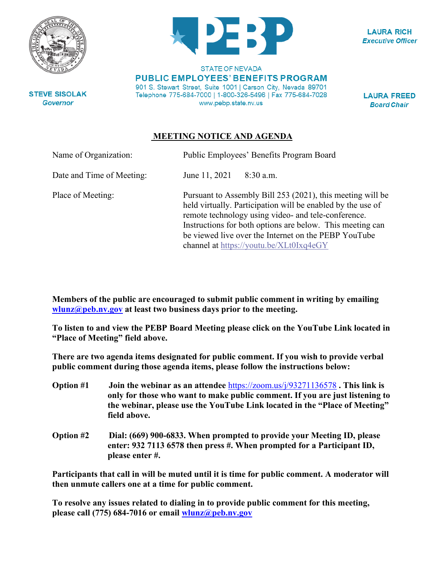

**LAURA RICH Executive Officer** 

**STEVE SISOLAK Governor** 

**STATE OF NEVADA PUBLIC EMPLOYEES' BENEFITS PROGRAM** 901 S. Stewart Street, Suite 1001 | Carson City, Nevada 89701 Telephone 775-684-7000 | 1-800-326-5496 | Fax 775-684-7028 www.pebp.state.nv.us

**LAURA FREED Board Chair** 

## **MEETING NOTICE AND AGENDA**

| Name of Organization:     | Public Employees' Benefits Program Board                                                                                                                                                                                                                                                                                                         |
|---------------------------|--------------------------------------------------------------------------------------------------------------------------------------------------------------------------------------------------------------------------------------------------------------------------------------------------------------------------------------------------|
| Date and Time of Meeting: | June 11, 2021<br>$8:30$ a.m.                                                                                                                                                                                                                                                                                                                     |
| Place of Meeting:         | Pursuant to Assembly Bill 253 (2021), this meeting will be<br>held virtually. Participation will be enabled by the use of<br>remote technology using video- and tele-conference.<br>Instructions for both options are below. This meeting can<br>be viewed live over the Internet on the PEBP YouTube<br>channel at https://youtu.be/XLt0Ixq4eGY |

**Members of the public are encouraged to submit public comment in writing by emailing [wlunz@peb.nv.gov](mailto:wlunz@peb.nv.gov) at least two business days prior to the meeting.**

**To listen to and view the PEBP Board Meeting please click on the YouTube Link located in "Place of Meeting" field above.**

**There are two agenda items designated for public comment. If you wish to provide verbal public comment during those agenda items, please follow the instructions below:**

- **Option #1 Join the webinar as an attendee** <https://zoom.us/j/93271136578> **. This link is only for those who want to make public comment. If you are just listening to the webinar, please use the YouTube Link located in the "Place of Meeting" field above.**
- **Option #2 Dial: (669) 900-6833. When prompted to provide your Meeting ID, please enter: 932 7113 6578 then press #. When prompted for a Participant ID, please enter #.**

**Participants that call in will be muted until it is time for public comment. A moderator will then unmute callers one at a time for public comment.**

**To resolve any issues related to dialing in to provide public comment for this meeting, please call (775) 684-7016 or email [wlunz@peb.nv.gov](mailto:wlunz@peb.nv.gov)**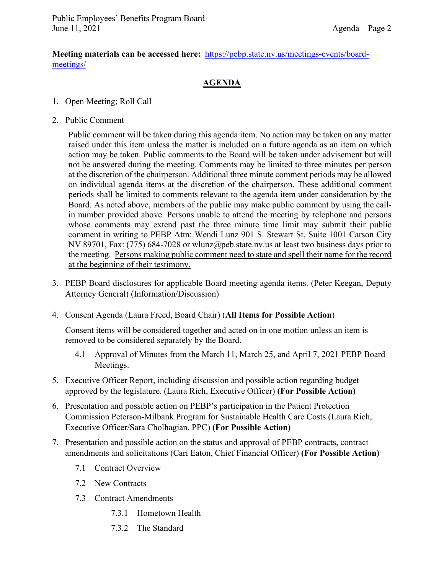**Meeting materials can be accessed here:** [https://pebp.state.nv.us/meetings-events/board](https://pebp.state.nv.us/meetings-events/board-meetings/)[meetings/](https://pebp.state.nv.us/meetings-events/board-meetings/)

## **AGENDA**

- 1. Open Meeting; Roll Call
- 2. Public Comment

Public comment will be taken during this agenda item. No action may be taken on any matter raised under this item unless the matter is included on a future agenda as an item on which action may be taken. Public comments to the Board will be taken under advisement but will not be answered during the meeting. Comments may be limited to three minutes per person at the discretion of the chairperson. Additional three minute comment periods may be allowed on individual agenda items at the discretion of the chairperson. These additional comment periods shall be limited to comments relevant to the agenda item under consideration by the Board. As noted above, members of the public may make public comment by using the callin number provided above. Persons unable to attend the meeting by telephone and persons whose comments may extend past the three minute time limit may submit their public comment in writing to PEBP Attn: Wendi Lunz 901 S. Stewart St, Suite 1001 Carson City NV 89701, Fax: (775) 684-7028 or wlunz@peb.state.nv.us at least two business days prior to the meeting. Persons making public comment need to state and spell their name for the record at the beginning of their testimony.

- 3. PEBP Board disclosures for applicable Board meeting agenda items. (Peter Keegan, Deputy Attorney General) (Information/Discussion)
- 4. Consent Agenda (Laura Freed, Board Chair) (**All Items for Possible Action**)

Consent items will be considered together and acted on in one motion unless an item is removed to be considered separately by the Board.

- 4.1 Approval of Minutes from the March 11, March 25, and April 7, 2021 PEBP Board Meetings.
- 5. Executive Officer Report, including discussion and possible action regarding budget approved by the legislature. (Laura Rich, Executive Officer) **(For Possible Action)**
- 6. Presentation and possible action on PEBP's participation in the Patient Protection Commission Peterson-Milbank Program for Sustainable Health Care Costs (Laura Rich, Executive Officer/Sara Cholhagian, PPC) **(For Possible Action)**
- 7. Presentation and possible action on the status and approval of PEBP contracts, contract amendments and solicitations (Cari Eaton, Chief Financial Officer) **(For Possible Action)**
	- 7.1 Contract Overview
	- 7.2 New Contracts
	- 7.3 Contract Amendments
		- 7.3.1 Hometown Health
		- 7.3.2 The Standard